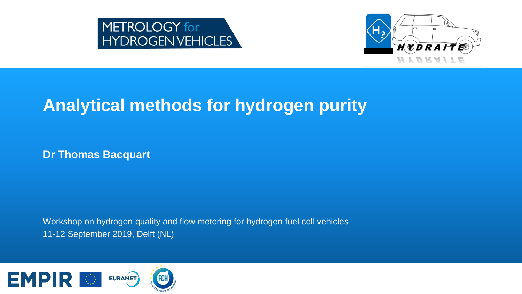



### **Analytical methods for hydrogen purity**

**Dr Thomas Bacquart**

Workshop on hydrogen quality and flow metering for hydrogen fuel cell vehicles 11-12 September 2019, Delft (NL)

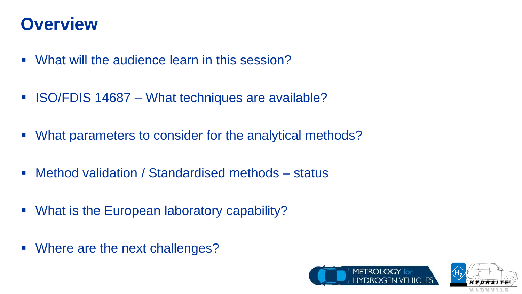### **Overview**

- What will the audience learn in this session?
- ISO/FDIS 14687 What techniques are available?
- What parameters to consider for the analytical methods?
- Method validation / Standardised methods status
- **What is the European laboratory capability?**
- Where are the next challenges?



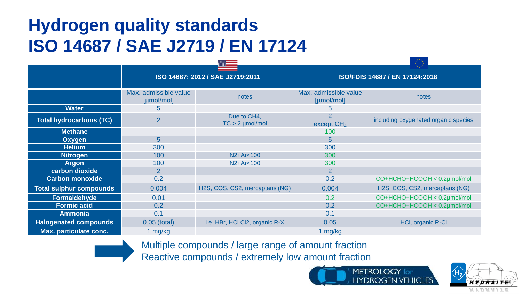## **Hydrogen quality standards ISO 14687 / SAE J2719 / EN 17124**

|                                |                                     |                                  |                                     | 3,2                                  |
|--------------------------------|-------------------------------------|----------------------------------|-------------------------------------|--------------------------------------|
|                                |                                     | ISO 14687: 2012 / SAE J2719:2011 |                                     | ISO/FDIS 14687 / EN 17124:2018       |
|                                | Max. admissible value<br>[µmol/mol] | notes                            | Max. admissible value<br>[µmol/mol] | notes                                |
| <b>Water</b>                   | 5                                   |                                  | 5                                   |                                      |
| <b>Total hydrocarbons (TC)</b> | $\overline{2}$                      | Due to CH4,<br>$TC > 2$ µmol/mol | except $CH4$                        | including oxygenated organic species |
| <b>Methane</b>                 | $\sim$                              |                                  | 100                                 |                                      |
| <b>Oxygen</b>                  | 5                                   |                                  | 5                                   |                                      |
| <b>Helium</b>                  | 300                                 |                                  | 300                                 |                                      |
| <b>Nitrogen</b>                | 100                                 | N <sub>2</sub> +Ar<100           | 300                                 |                                      |
| <b>Argon</b>                   | 100                                 | N <sub>2</sub> +Ar<100           | 300                                 |                                      |
| carbon dioxide                 | 2                                   |                                  | $\overline{2}$                      |                                      |
| <b>Carbon monoxide</b>         | 0.2                                 |                                  | 0.2                                 | CO+HCHO+HCOOH < 0.2µmol/mol          |
| <b>Total sulphur compounds</b> | 0.004                               | H2S, COS, CS2, mercaptans (NG)   | 0.004                               | H2S, COS, CS2, mercaptans (NG)       |
| <b>Formaldehyde</b>            | 0.01                                |                                  | 0.2                                 | CO+HCHO+HCOOH < 0.2µmol/mol          |
| <b>Formic acid</b>             | 0.2                                 |                                  | 0.2                                 | CO+HCHO+HCOOH < 0.2µmol/mol          |
| <b>Ammonia</b>                 | 0.1                                 |                                  | 0.1                                 |                                      |
| <b>Halogenated compounds</b>   | $0.05$ (total)                      | i.e. HBr, HCI Cl2, organic R-X   | 0.05                                | HCI, organic R-CI                    |
| Max. particulate conc.         | 1 mg/kg                             |                                  | 1 mg/kg                             |                                      |



Multiple compounds / large range of amount fraction Reactive compounds / extremely low amount fraction



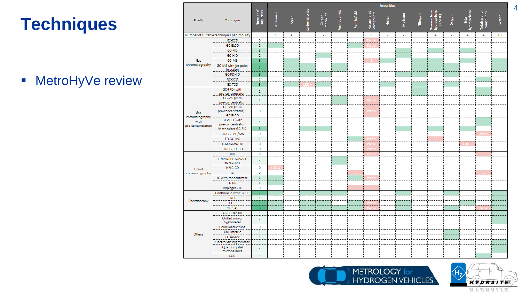**E** MetroHyVe review

|                                             |                                            |                             | <b>Impurities</b> |       |                |                    |              |             |                          |                |         |          |                                        |        |                       |                            |       |
|---------------------------------------------|--------------------------------------------|-----------------------------|-------------------|-------|----------------|--------------------|--------------|-------------|--------------------------|----------------|---------|----------|----------------------------------------|--------|-----------------------|----------------------------|-------|
| Family                                      | Technique                                  | Number of<br>impurities     | Ammonia           | Argon | Carbon dioxide | Carbon<br>monoxide | Formaldehyde | Formic Acid | Halogenated<br>compounds | Helium         | Methane | Nitrogen | Non-methane<br>hydro carbons<br>(NMHC) | Oxygen | hydrocarbons<br>Total | Totals ulphur<br>compounds | Water |
|                                             | Number of suitable techniques per impurity |                             | 6                 | 4     | 6              | 7                  | 5            | 5           | O                        | $\overline{2}$ | 7       | 5        | 4                                      | 7      | 4                     | 4                          | 10    |
|                                             | <b>GC-ECD</b>                              | $\circ$                     |                   |       |                |                    |              |             |                          |                |         |          |                                        |        |                       |                            |       |
|                                             | GC-ELCD                                    | $\overline{2}$              |                   |       |                |                    |              |             | ırtia                    |                |         |          |                                        |        |                       |                            |       |
|                                             | GC-FID                                     | 3                           |                   |       |                |                    |              |             |                          |                |         |          |                                        |        |                       |                            |       |
|                                             | GC-HID                                     | $\overline{2}$              |                   |       |                |                    |              |             |                          |                |         |          |                                        |        |                       |                            |       |
| Gas                                         | GC-MS                                      | 6 <sup>1</sup>              |                   |       |                |                    |              |             |                          |                |         |          |                                        |        |                       |                            |       |
| chromatography                              | GC-MS with jet pulse                       |                             |                   |       |                |                    |              |             |                          |                |         |          |                                        |        |                       |                            |       |
|                                             | injection                                  | $\overline{7}$              |                   |       |                |                    |              |             |                          |                |         |          |                                        |        |                       |                            |       |
|                                             | GC-PDHID                                   | $\mathbf{6}$                |                   |       |                |                    |              |             |                          |                |         |          |                                        |        |                       |                            |       |
|                                             | GC-SCD                                     | $\mathbf{1}$                |                   |       |                |                    |              |             |                          |                |         |          |                                        |        |                       |                            |       |
|                                             | GC-TCD                                     | $\mathsf S$                 |                   |       | LOD            |                    |              |             |                          |                |         |          |                                        |        |                       |                            |       |
|                                             | GC-FPD (with                               | $\overline{2}$              |                   |       |                |                    |              |             |                          |                |         |          |                                        |        |                       |                            |       |
|                                             | pre-concentrator)                          |                             |                   |       |                |                    |              |             |                          |                |         |          |                                        |        |                       |                            |       |
|                                             | GC-MS (with<br>pre-concentrator)           | $\mathbf{1}$                |                   |       |                |                    |              |             | Partial                  |                |         |          |                                        |        |                       |                            |       |
|                                             | GC-MS (with                                |                             |                   |       |                |                    |              |             |                          |                |         |          |                                        |        |                       |                            |       |
| Gas                                         | pre-concentrator) +<br>GC-ELCD             | $\circ$                     |                   |       |                |                    |              |             | Partia                   |                |         |          |                                        |        |                       |                            |       |
| chromatography<br>with<br>pre-concentration | GC-SCD (with<br>pre-concentrator)          | $\mathbf{1}$                |                   |       |                |                    |              |             |                          |                |         |          |                                        |        |                       |                            |       |
|                                             | Methanizer GC-FID                          | 5                           |                   |       |                |                    |              |             |                          |                |         |          |                                        |        |                       |                            |       |
|                                             | TD-GC-FPD/MS                               | 0                           |                   |       |                |                    |              |             |                          |                |         |          |                                        |        |                       | Partial                    |       |
|                                             | TD-GC-MS                                   | $1\,$                       |                   |       |                |                    |              |             | artia                    |                |         |          |                                        |        |                       |                            |       |
|                                             | TD-GC-MS/FID                               | 0                           |                   |       |                |                    |              |             | artia                    |                |         |          |                                        |        |                       |                            |       |
|                                             | TD-GC-PDECD                                | $\circ$                     |                   |       |                |                    |              |             | Partia                   |                |         |          |                                        |        |                       |                            |       |
|                                             | CIC                                        | $\circ$                     |                   |       |                |                    |              |             |                          |                |         |          |                                        |        |                       |                            |       |
|                                             | DNPH-HPLC-UV-Vis<br><b>DNPH-HPLC</b>       | $\mathbf{1}$                |                   |       |                |                    |              |             |                          |                |         |          |                                        |        |                       |                            |       |
| Liquid                                      | HPLC-CD                                    | $\circ$                     |                   |       |                |                    |              |             |                          |                |         |          |                                        |        |                       |                            |       |
| chromatography                              | IC.                                        | $\circ$                     |                   |       |                |                    |              |             |                          |                |         |          |                                        |        |                       |                            |       |
|                                             | IC with concentrator                       | $\overline{2}$              |                   |       |                |                    |              |             |                          |                |         |          |                                        |        |                       |                            |       |
|                                             | IC-CD                                      | $\mathbf{1}$                |                   |       |                |                    |              |             |                          |                |         |          |                                        |        |                       |                            |       |
|                                             | Impinger - IC                              | o                           |                   |       |                |                    |              |             |                          |                |         |          |                                        |        |                       |                            |       |
|                                             | Continuous wave CRDS                       | $\overline{7}$              |                   |       |                |                    |              |             |                          |                |         |          |                                        |        |                       |                            |       |
|                                             | <b>CRDS</b>                                | $1\,$                       |                   |       |                |                    |              |             |                          |                |         |          |                                        |        |                       |                            |       |
| Spectroscopy                                | <b>FTIR</b>                                | $\overline{7}$              |                   |       |                |                    |              |             | <sup>a</sup> rtia        |                |         |          |                                        |        |                       |                            |       |
|                                             | <b>OFCEAS</b>                              | $\mathbf{g}$                |                   |       |                |                    |              |             | Partial                  |                |         |          |                                        |        |                       | Partia                     |       |
|                                             | AI2O3 sensor                               | $\mathbf{1}$                |                   |       |                |                    |              |             |                          |                |         |          |                                        |        |                       |                            |       |
|                                             | <b>Chilled mirror</b>                      | $\mathbf{1}$                |                   |       |                |                    |              |             |                          |                |         |          |                                        |        |                       |                            |       |
|                                             | hygrometer                                 |                             |                   |       |                |                    |              |             |                          |                |         |          |                                        |        |                       |                            |       |
|                                             | Colorimetric tube                          | $\circ$                     |                   |       |                |                    |              |             |                          |                |         |          |                                        |        |                       |                            |       |
| Others                                      | Coulimetric                                | $\mathbf{1}$                |                   |       |                |                    |              |             |                          |                |         |          |                                        |        |                       |                            |       |
|                                             | EC sensor                                  | $1\,$                       |                   |       |                |                    |              |             |                          |                |         |          |                                        |        |                       |                            |       |
|                                             | Electrolytic hygrometer<br>Quartz crystal  | $\mathbf 1$<br>$\mathbf{1}$ |                   |       |                |                    |              |             |                          |                |         |          |                                        |        |                       |                            |       |
|                                             | microbalance                               | $\mathbf 1$                 |                   |       |                |                    |              |             |                          |                |         |          |                                        |        |                       |                            |       |
|                                             | SCD                                        |                             |                   |       |                |                    |              |             |                          |                |         |          |                                        |        |                       |                            |       |





4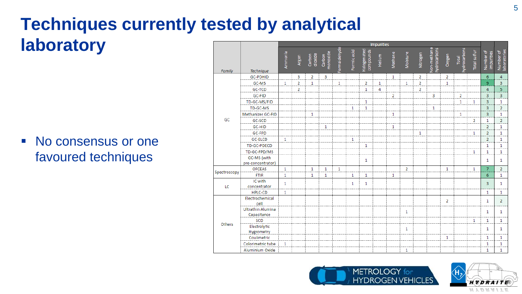## **Techniques currently tested by analytical laboratory**

• No consensus or one favoured techniques

|              |                                  | <b>Impurities</b>         |                |                   |                    |              |              |                          |        |                |                |                |                             |              |                       |                   |                         |                           |
|--------------|----------------------------------|---------------------------|----------------|-------------------|--------------------|--------------|--------------|--------------------------|--------|----------------|----------------|----------------|-----------------------------|--------------|-----------------------|-------------------|-------------------------|---------------------------|
| Family       | Technique                        | Ammonia                   | Argon          | dioxide<br>Carbon | monoxide<br>Carbon | Formaldehyde | Formic acid  | Halogenated<br>compounds | Helium | Methane        | Moisture       | Nitrogen       | Non-methane<br>hydrocarbons | Oxygen       | hydrocarbons<br>Total | Total sulfur      | Number of<br>impurities | laboratories<br>Number of |
|              | <b>GC-PDHID</b>                  |                           | 3              | 2                 | 3                  |              |              |                          |        | 1              |                | 2              |                             | 2            |                       |                   | 6                       | 4                         |
|              | GC-MS                            | $\overline{1}$            | $\overline{a}$ | 1                 |                    | 1            |              | $\overline{a}$           | 1      |                | 1              | $\overline{a}$ |                             | 1            |                       |                   | 9                       | 3                         |
|              | GC-TCD                           |                           | 2              |                   |                    |              |              | 1                        | 4      |                |                | 2              |                             |              |                       |                   | 4                       | 5                         |
|              | GC-FID                           |                           |                |                   |                    |              |              |                          |        | $\overline{a}$ |                |                | $\overline{a}$              |              | 2                     |                   | 3                       | 3                         |
|              | TD-GC-MS/FID                     |                           |                |                   |                    |              |              | $\overline{1}$           |        |                |                |                |                             |              | 1                     | 1                 | 3                       | $\overline{1}$            |
|              | TD-GC-MS                         |                           |                |                   |                    |              | 1            | 1                        |        |                |                |                | $\overline{1}$              |              |                       |                   | 3                       | 2                         |
|              | Methanizer GC-FID                |                           |                | 1                 |                    |              |              |                          |        | 1              |                |                |                             |              | 1                     |                   | 3                       | 1                         |
| GC           | GC-SCD                           |                           |                |                   |                    |              |              |                          |        |                |                |                |                             |              |                       | 2                 | 1                       | 2                         |
|              | $GC-HID$                         |                           |                |                   | $\mathbf{1}$       |              |              |                          |        | $\overline{1}$ |                |                |                             |              |                       |                   | $\overline{2}$          | $\overline{1}$            |
|              | GC-FPD                           |                           |                |                   |                    |              |              |                          |        |                |                | $\overline{1}$ |                             |              |                       | $\frac{1}{\cdot}$ | $\overline{2}$          | $\frac{1}{\cdot}$         |
|              | GC-ELCD                          | $\overline{1}$            |                |                   |                    |              | 1            |                          |        |                |                |                |                             |              |                       |                   | $\overline{a}$          | $\overline{1}$            |
|              | TD-GC-PDECD                      |                           |                |                   |                    |              |              | 1                        |        |                |                |                |                             |              |                       |                   | 1                       | 1                         |
|              | TD-GC-FPD/MS                     |                           |                |                   |                    |              |              |                          |        |                |                |                |                             |              |                       | 1                 | 1                       | 1                         |
|              | GC-MS (with                      |                           |                |                   |                    |              |              | 1                        |        |                |                |                |                             |              |                       |                   | 1                       | 1                         |
|              | pre-concentrator)                |                           |                |                   |                    |              |              |                          |        |                |                |                |                             |              |                       |                   |                         |                           |
| Spectroscopy | OFCEAS                           | $\ensuremath{\mathbb{1}}$ |                | $\mathbf{1}$      | $\mathbf{1}$       | $\mathbf{1}$ |              |                          |        |                | $\overline{2}$ |                |                             | $\mathbf{1}$ |                       | $\mathbf{1}$      | $\overline{7}$          | $\overline{2}$            |
|              | <b>FTIR</b>                      | 1                         |                | 1                 | $\mathbf{1}$       |              | $\mathbf{1}$ | $\mathbf{1}$             |        | 1              |                |                |                             |              |                       |                   | 6                       | 1                         |
| LC           | IC with<br>concentrator          | 1                         |                |                   |                    |              | 1            | 1                        |        |                |                |                |                             |              |                       |                   | 3                       | 1                         |
|              | <b>HPLC-CD</b>                   | 1                         |                |                   |                    |              |              |                          |        |                |                |                |                             |              |                       |                   | 1                       | 1                         |
|              | Electrochemical<br>cell          |                           |                |                   |                    |              |              |                          |        |                |                |                |                             | 2            |                       |                   | 1                       | $\overline{2}$            |
|              | Ultrathin Alumina<br>Capacitance |                           |                |                   |                    |              |              |                          |        |                | 1              |                |                             |              |                       |                   | 1                       | 1                         |
|              | SCD                              |                           |                |                   |                    |              |              |                          |        |                |                |                |                             |              |                       | 1                 | 1                       | 1                         |
| Others       | Electrolytic                     |                           |                |                   |                    |              |              |                          |        |                | 1              |                |                             |              |                       |                   | 1                       | 1                         |
|              | Hygrometry                       |                           |                |                   |                    |              |              |                          |        |                |                |                |                             |              |                       |                   |                         |                           |
|              | Coulimetric                      |                           |                |                   |                    |              |              |                          |        |                |                |                |                             | 1            |                       |                   | $\overline{1}$          | 1                         |
|              | Colorimetric tube                | 1                         |                |                   |                    |              |              |                          |        |                |                |                |                             |              |                       |                   | $\mathbf{1}$            | 1                         |
|              | Aluminium Oxide                  |                           |                |                   |                    |              |              |                          |        |                | 1              |                |                             |              |                       |                   | 1                       | 1                         |



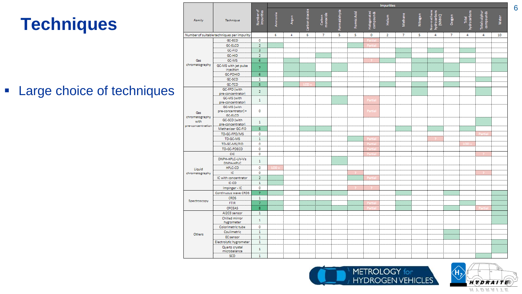**Example 2** Large choice of techniques

|                   |                                            |                             | <b>Impurities</b> |       |                |                    |              |                    |                          |                |         |          |                                       |                |                       |                            |       |
|-------------------|--------------------------------------------|-----------------------------|-------------------|-------|----------------|--------------------|--------------|--------------------|--------------------------|----------------|---------|----------|---------------------------------------|----------------|-----------------------|----------------------------|-------|
| Family            | Technique                                  | Number of<br>impurities     | Ammonia           | Argon | Carbon dioxide | Carbon<br>monoxide | Formaldehyde | <b>Formic Acid</b> | Halogenated<br>compounds | Helium         | Methane | Nitrogen | Non-methane<br>hydrocarbons<br>(NMHC) | Oxygen         | hydrocarbons<br>Total | Totals ulphur<br>compounds | Water |
|                   | Number of suitable techniques per impurity |                             | 6                 | 4     | 6              | $\overline{7}$     | 5            | 5                  | $\circ$                  | $\overline{2}$ | 7       | 5        | 4                                     | $\overline{7}$ | 4                     | 4                          | 10    |
|                   | GC-ECD                                     | $\mathbf 0$                 |                   |       |                |                    |              |                    |                          |                |         |          |                                       |                |                       |                            |       |
|                   | <b>GC-ELCD</b>                             | $\overline{2}$              |                   |       |                |                    |              |                    |                          |                |         |          |                                       |                |                       |                            |       |
|                   | GC-FID                                     | 3                           |                   |       |                |                    |              |                    |                          |                |         |          |                                       |                |                       |                            |       |
|                   | GC-HID                                     | $\overline{2}$              |                   |       |                |                    |              |                    |                          |                |         |          |                                       |                |                       |                            |       |
| Gas               | GC-MS                                      | 6                           |                   |       |                |                    |              |                    |                          |                |         |          |                                       |                |                       |                            |       |
| chromatography    | GC-MS with jet pulse                       |                             |                   |       |                |                    |              |                    |                          |                |         |          |                                       |                |                       |                            |       |
|                   | injection                                  | $\overline{7}$              |                   |       |                |                    |              |                    |                          |                |         |          |                                       |                |                       |                            |       |
|                   | <b>GC-PDHID</b>                            | 6                           |                   |       |                |                    |              |                    |                          |                |         |          |                                       |                |                       |                            |       |
|                   | GC-SCD                                     | $\mathbf{1}$                |                   |       |                |                    |              |                    |                          |                |         |          |                                       |                |                       |                            |       |
|                   | GC-TCD                                     | $\mathsf S$                 |                   |       | ıог            |                    |              |                    |                          |                |         |          |                                       |                |                       |                            |       |
|                   | GC-FPD (with                               | $\overline{2}$              |                   |       |                |                    |              |                    |                          |                |         |          |                                       |                |                       |                            |       |
|                   | pre-concentrator)                          |                             |                   |       |                |                    |              |                    |                          |                |         |          |                                       |                |                       |                            |       |
|                   | GC-MS (with<br>pre-concentrator)           | $\mathbf{1}$                |                   |       |                |                    |              |                    | Partia                   |                |         |          |                                       |                |                       |                            |       |
|                   | GC-MS (with                                |                             |                   |       |                |                    |              |                    |                          |                |         |          |                                       |                |                       |                            |       |
| Gas               | pre-concentrator) +                        | $\circ$                     |                   |       |                |                    |              |                    | Partial                  |                |         |          |                                       |                |                       |                            |       |
| chromatography    | <b>GC-ELCD</b>                             |                             |                   |       |                |                    |              |                    |                          |                |         |          |                                       |                |                       |                            |       |
| with              | GC-SCD (with                               | $\mathbf{1}$                |                   |       |                |                    |              |                    |                          |                |         |          |                                       |                |                       |                            |       |
| pre-concentration | pre-concentrator)                          | $\overline{\mathbf{5}}$     |                   |       |                |                    |              |                    |                          |                |         |          |                                       |                |                       |                            |       |
|                   | Methanizer GC-FID                          |                             |                   |       |                |                    |              |                    |                          |                |         |          |                                       |                |                       |                            |       |
|                   | TD-GC-FPD/MS                               | $\mathbf 0$<br>$\mathbf{1}$ |                   |       |                |                    |              |                    |                          |                |         |          |                                       |                |                       | Partia                     |       |
|                   | TD-GC-MS<br>TD-GC-MS/FID                   | $\mathbf 0$                 |                   |       |                |                    |              |                    | Partia                   |                |         |          |                                       |                |                       |                            |       |
|                   | TD-GC-PDECD                                | $\mathbf 0$                 |                   |       |                |                    |              |                    | Partial<br>Partial       |                |         |          |                                       |                | $LOD =$               |                            |       |
|                   | <b>CIC</b>                                 | $\circ$                     |                   |       |                |                    |              |                    | Partial                  |                |         |          |                                       |                |                       |                            |       |
|                   | DNPH-HPLC-UV-Vis                           |                             |                   |       |                |                    |              |                    |                          |                |         |          |                                       |                |                       |                            |       |
|                   | DNPH-HPLC                                  | $1\,$                       |                   |       |                |                    |              |                    |                          |                |         |          |                                       |                |                       |                            |       |
| Liquid            | HPLC-CD                                    | $\circ$                     | $LOD =$           |       |                |                    |              |                    |                          |                |         |          |                                       |                |                       |                            |       |
| chromatography    | IC                                         | $\circ$                     |                   |       |                |                    |              |                    |                          |                |         |          |                                       |                |                       |                            |       |
|                   | IC with concentrator                       | $\mathbf{2}$                |                   |       |                |                    |              |                    | artia                    |                |         |          |                                       |                |                       |                            |       |
|                   | IC-CD                                      | $\mathbf{1}$                |                   |       |                |                    |              |                    |                          |                |         |          |                                       |                |                       |                            |       |
|                   | Impinger - IC                              | $\bf{0}$                    |                   |       |                |                    |              |                    |                          |                |         |          |                                       |                |                       |                            |       |
|                   | Continuous wave CRDS                       | 7                           |                   |       |                |                    |              |                    |                          |                |         |          |                                       |                |                       |                            |       |
|                   | <b>CRDS</b>                                | $\mathbf{1}$                |                   |       |                |                    |              |                    |                          |                |         |          |                                       |                |                       |                            |       |
| Spectroscopy      | <b>FTIR</b>                                | $\overline{7}$              |                   |       |                |                    |              |                    | ırti.                    |                |         |          |                                       |                |                       |                            |       |
|                   | OFCEAS                                     | 8 <sub>1</sub>              |                   |       |                |                    |              |                    |                          |                |         |          |                                       |                |                       |                            |       |
|                   | AI2O3 sensor                               | $\mathbf{1}$                |                   |       |                |                    |              |                    |                          |                |         |          |                                       |                |                       |                            |       |
|                   | <b>Chilled mirror</b>                      | $\mathbf{1}$                |                   |       |                |                    |              |                    |                          |                |         |          |                                       |                |                       |                            |       |
|                   | hygrometer                                 |                             |                   |       |                |                    |              |                    |                          |                |         |          |                                       |                |                       |                            |       |
|                   | Colorimetric tube                          | $\circ$                     |                   |       |                |                    |              |                    |                          |                |         |          |                                       |                |                       |                            |       |
| Others            | Coulimetric                                | $1\,$                       |                   |       |                |                    |              |                    |                          |                |         |          |                                       |                |                       |                            |       |
|                   | EC sensor                                  | $1\,$                       |                   |       |                |                    |              |                    |                          |                |         |          |                                       |                |                       |                            |       |
|                   | Electrolytic hygrometer                    | $\mathbf{1}$                |                   |       |                |                    |              |                    |                          |                |         |          |                                       |                |                       |                            |       |
|                   | Quartz crystal<br>microbalance             | $\mathbf{1}$                |                   |       |                |                    |              |                    |                          |                |         |          |                                       |                |                       |                            |       |
|                   | <b>SCD</b>                                 | $\mathbf{1}$                |                   |       |                |                    |              |                    |                          |                |         |          |                                       |                |                       |                            |       |
|                   |                                            |                             |                   |       |                |                    |              |                    |                          |                |         |          |                                       |                |                       |                            |       |



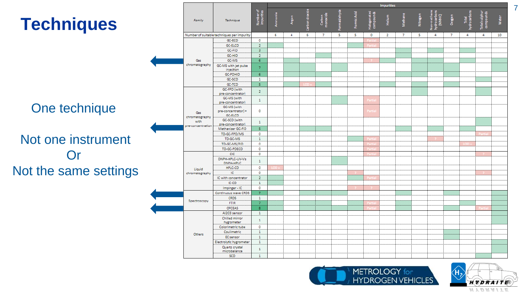



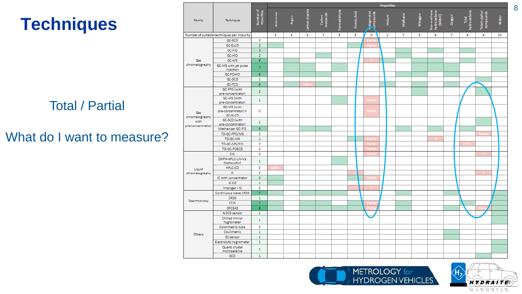Total / Partial

What do I want to measure?

|                   |                                            |                         | <b>Impurities</b> |       |                |                    |              |             |                                          |                |         |          |                                         |        |                       |                            |       |
|-------------------|--------------------------------------------|-------------------------|-------------------|-------|----------------|--------------------|--------------|-------------|------------------------------------------|----------------|---------|----------|-----------------------------------------|--------|-----------------------|----------------------------|-------|
| Family            | Technique                                  | Number of<br>impurities | Ammonia           | Argon | Carbon dioxide | Carbon<br>monoxide | Formaldehyde | Formic Acid | plogenated<br>compounds<br><b>Septim</b> | Helium         | Methane | Nitrogen | Non-methane<br>hydro carbo ns<br>(NMHC) | Oxygen | hydrocarbons<br>Total | Totals ulphur<br>compounds | Water |
|                   | Number of suitable techniques per impurity |                         | 6                 | 4     | 6              | 7                  | 5            | 5           | 0                                        | $\overline{2}$ | 7       | 5        | 4                                       | 7      | 4                     | 4                          | 10    |
|                   | <b>GC-ECD</b>                              | $\mathbf 0$             |                   |       |                |                    |              |             | 'arti:                                   |                |         |          |                                         |        |                       |                            |       |
|                   | <b>GC-ELCD</b>                             | $\overline{2}$          |                   |       |                |                    |              |             | 'artia                                   |                |         |          |                                         |        |                       |                            |       |
|                   | GC-FID                                     | 3                       |                   |       |                |                    |              |             |                                          |                |         |          |                                         |        |                       |                            |       |
|                   | GC-HID                                     | $\mathbf{2}$            |                   |       |                |                    |              |             |                                          |                |         |          |                                         |        |                       |                            |       |
| Gas               | GC-MS                                      | 6                       |                   |       |                |                    |              |             |                                          |                |         |          |                                         |        |                       |                            |       |
| chromatography    | GC-MS with jet pulse                       | $\overline{7}$          |                   |       |                |                    |              |             |                                          |                |         |          |                                         |        |                       |                            |       |
|                   | injection                                  |                         |                   |       |                |                    |              |             |                                          |                |         |          |                                         |        |                       |                            |       |
|                   | GC-PDHID                                   | 6                       |                   |       |                |                    |              |             |                                          |                |         |          |                                         |        |                       |                            |       |
|                   | GC-SCD                                     | $\mathbf{1}$            |                   |       |                |                    |              |             |                                          |                |         |          |                                         |        |                       |                            |       |
|                   | GC-TCD                                     | 5                       |                   |       | LOD            |                    |              |             |                                          |                |         |          |                                         |        |                       |                            |       |
|                   | GC-FPD (with                               | $\mathbf{2}$            |                   |       |                |                    |              |             |                                          |                |         |          |                                         |        |                       |                            |       |
|                   | pre-concentrator)<br>GC-MS (with           |                         |                   |       |                |                    |              |             |                                          |                |         |          |                                         |        |                       |                            |       |
|                   | pre-concentrator)                          | $\mathbf{1}$            |                   |       |                |                    |              |             | 'artia                                   |                |         |          |                                         |        |                       |                            |       |
|                   | GC-MS (with                                |                         |                   |       |                |                    |              |             |                                          |                |         |          |                                         |        |                       |                            |       |
| Gas               | pre-concentrator) +                        | $\mathbf 0$             |                   |       |                |                    |              |             | Partial                                  |                |         |          |                                         |        |                       |                            |       |
| chromatography    | GC-ELCD                                    |                         |                   |       |                |                    |              |             |                                          |                |         |          |                                         |        |                       |                            |       |
| with              | GC-SCD (with                               | $\mathbf{1}$            |                   |       |                |                    |              |             |                                          |                |         |          |                                         |        |                       |                            |       |
| pre-concentration | pre-concentrator)<br>Methanizer GC-FID     | 5                       |                   |       |                |                    |              |             |                                          |                |         |          |                                         |        |                       |                            |       |
|                   | TD-GC-FPD/MS                               | $\mathbf 0$             |                   |       |                |                    |              |             |                                          |                |         |          |                                         |        |                       |                            |       |
|                   | TD-GC-MS                                   | $\mathbf{1}$            |                   |       |                |                    |              |             |                                          |                |         |          |                                         |        |                       |                            |       |
|                   | TD-GC-MS/FID                               | $\circ$                 |                   |       |                |                    |              |             |                                          |                |         |          |                                         |        | <b>LOD</b>            |                            |       |
|                   | TD-GC-PDECD                                | $\bf{0}$                |                   |       |                |                    |              |             | <sup>t</sup> artia                       |                |         |          |                                         |        |                       |                            |       |
|                   | CIC                                        | O                       |                   |       |                |                    |              |             | <sup>b</sup> artia                       |                |         |          |                                         |        |                       |                            |       |
|                   | DNPH-HPLC-UV-Vis                           |                         |                   |       |                |                    |              |             |                                          |                |         |          |                                         |        |                       |                            |       |
|                   | <b>DNPH HPLC</b>                           | $\mathbf{1}$            |                   |       |                |                    |              |             |                                          |                |         |          |                                         |        |                       |                            |       |
| Liquid            | HPLC-CD                                    | $\circ$                 | LOD:              |       |                |                    |              |             |                                          |                |         |          |                                         |        |                       |                            |       |
| chromatography    | IC.                                        | $\bf{0}$                |                   |       |                |                    |              |             |                                          |                |         |          |                                         |        |                       |                            |       |
|                   | IC with concentrator                       | $\overline{2}$          |                   |       |                |                    |              |             | <b>artial</b>                            |                |         |          |                                         |        |                       |                            |       |
|                   | IC-CD                                      | $\mathbf{1}$            |                   |       |                |                    |              |             |                                          |                |         |          |                                         |        |                       |                            |       |
|                   | Impinger - IC                              | $\bf{0}$                |                   |       |                |                    |              |             |                                          |                |         |          |                                         |        |                       |                            |       |
|                   | Continuous wave CRDS                       | $\overline{7}$          |                   |       |                |                    |              |             |                                          |                |         |          |                                         |        |                       |                            |       |
|                   | <b>CRDS</b>                                | $1\,$                   |                   |       |                |                    |              |             |                                          |                |         |          |                                         |        |                       |                            |       |
| Spectroscopy      | <b>FTIR</b>                                | 7                       |                   |       |                |                    |              |             | 'artia                                   |                |         |          |                                         |        |                       |                            |       |
|                   | OFCEAS                                     | 8 <sub>1</sub>          |                   |       |                |                    |              |             |                                          |                |         |          |                                         |        |                       |                            |       |
|                   | AI2O3 sensor                               | $\mathbf 1$             |                   |       |                |                    |              |             |                                          |                |         |          |                                         |        |                       |                            |       |
|                   | <b>Chilled mirror</b>                      | $1\,$                   |                   |       |                |                    |              |             |                                          |                |         |          |                                         |        |                       |                            |       |
|                   | hygrometer                                 |                         |                   |       |                |                    |              |             |                                          |                |         |          |                                         |        |                       |                            |       |
|                   | Colorimetric tube                          | $\circ$                 |                   |       |                |                    |              |             |                                          |                |         |          |                                         |        |                       |                            |       |
| Others            | Coulimetric                                | $\mathbf{1}$            |                   |       |                |                    |              |             |                                          |                |         |          |                                         |        |                       |                            |       |
|                   | EC sensor                                  | $\mathbf{1}$            |                   |       |                |                    |              |             |                                          |                |         |          |                                         |        |                       |                            |       |
|                   | Electrolytic hygrometer                    | $\mathbf{1}$            |                   |       |                |                    |              |             |                                          |                |         |          |                                         |        |                       |                            |       |
|                   | Quartz crystal<br>microbalance             | $\mathbf 1$             |                   |       |                |                    |              |             |                                          |                |         |          |                                         |        |                       |                            |       |
|                   | <b>SCD</b>                                 | 1                       |                   |       |                |                    |              |             |                                          |                |         |          |                                         |        |                       |                            |       |
|                   |                                            |                         |                   |       |                |                    |              |             |                                          |                |         |          |                                         |        |                       |                            |       |



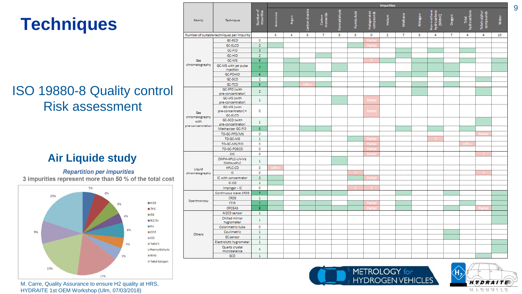### ISO 19880-8 Quality control Risk assessment

### **Air Liquide study**





M. Carre, Quality Assurance to ensure H2 quality at HRS, HYDRAITE 1st OEM Workshop (Ulm, 07/03/2018)

|                           |                                               |                                |         |       |                |                    |              |             |                          | <b>Impurities</b> |                |          |                                         |        |                       |                            |       |
|---------------------------|-----------------------------------------------|--------------------------------|---------|-------|----------------|--------------------|--------------|-------------|--------------------------|-------------------|----------------|----------|-----------------------------------------|--------|-----------------------|----------------------------|-------|
| Family                    | Technique                                     | Number of<br>impurities        | Ammonia | Argen | Carbon dioxide | Carbon<br>monoxide | Formaldehyde | Formic Acid | Halogenated<br>compounds | Helium            | Methane        | Nitrogen | Non-methane<br>hydro carbo ns<br>(NMHC) | Oxygen | Total<br>hydrocarbons | Totals ulphur<br>compounds | Water |
|                           | Number of suitable techniques per impurity    |                                | 6       | 4     | 6              | $\overline{7}$     | 5            | 5           | $\circ$                  | $\overline{2}$    | $\overline{7}$ | 5        | 4                                       | 7      | 4                     | 4                          | 10    |
|                           | <b>GC-ECD</b>                                 | $\circ$                        |         |       |                |                    |              |             | Partia                   |                   |                |          |                                         |        |                       |                            |       |
|                           | <b>GC-ELCD</b>                                | $\overline{2}$                 |         |       |                |                    |              |             | 'artia                   |                   |                |          |                                         |        |                       |                            |       |
|                           | GC-FID                                        | 3                              |         |       |                |                    |              |             |                          |                   |                |          |                                         |        |                       |                            |       |
|                           | GC-HID                                        | $\overline{2}$                 |         |       |                |                    |              |             |                          |                   |                |          |                                         |        |                       |                            |       |
| Gas                       | GC-MS                                         | $\mathbf{6}$                   |         |       |                |                    |              |             |                          |                   |                |          |                                         |        |                       |                            |       |
| chromatography            | GC-MS with jet pulse<br>injection             | $\overline{7}$                 |         |       |                |                    |              |             |                          |                   |                |          |                                         |        |                       |                            |       |
|                           | GC-PDHID                                      | $\mathbf{6}$                   |         |       |                |                    |              |             |                          |                   |                |          |                                         |        |                       |                            |       |
|                           | GC-SCD<br>GC-TCD                              | $\mathbf{1}$<br>5              |         |       | LOD:           |                    |              |             |                          |                   |                |          |                                         |        |                       |                            |       |
|                           | GC-FPD (with<br>pre-concentrator)             | $\overline{2}$                 |         |       |                |                    |              |             |                          |                   |                |          |                                         |        |                       |                            |       |
|                           | GC-MS (with<br>pre-concentrator)              | 1                              |         |       |                |                    |              |             | Partia                   |                   |                |          |                                         |        |                       |                            |       |
| Gas<br>chromatography     | GC-MS (with<br>pre-concentrator) +<br>GC-ELCD | $\circ$                        |         |       |                |                    |              |             | Partia                   |                   |                |          |                                         |        |                       |                            |       |
| with<br>pre-concentration | GC-SCD (with<br>pre-concentrator)             | $\mathbf 1$                    |         |       |                |                    |              |             |                          |                   |                |          |                                         |        |                       |                            |       |
|                           | Methanizer GC-FID<br>TD-GC-FPD/MS             | 5<br>$\bf{0}$                  |         |       |                |                    |              |             |                          |                   |                |          |                                         |        |                       | Partial                    |       |
|                           | TD-GC-MS                                      | $\mathbf{1}$                   |         |       |                |                    |              |             | Partia                   |                   |                |          |                                         |        |                       |                            |       |
|                           | TD-GC-MS/FID                                  | $\circ$                        |         |       |                |                    |              |             | Partial                  |                   |                |          |                                         |        | $LOD =$               |                            |       |
|                           | TD-GC-PDECD                                   | $\mathbf 0$                    |         |       |                |                    |              |             | Partia                   |                   |                |          |                                         |        |                       |                            |       |
|                           | CIC                                           | $\circ$                        |         |       |                |                    |              |             | artia                    |                   |                |          |                                         |        |                       |                            |       |
|                           | DNPH-HPLC-UV-Vis<br>DNPH-HPLC                 | $\mathbf{1}$                   |         |       |                |                    |              |             |                          |                   |                |          |                                         |        |                       |                            |       |
| Liquid                    | HPLC-CD                                       | $\circ$                        |         |       |                |                    |              |             |                          |                   |                |          |                                         |        |                       |                            |       |
| chromatography            | IC.                                           | $\circ$                        |         |       |                |                    |              |             |                          |                   |                |          |                                         |        |                       |                            |       |
|                           | IC with concentrator<br>IC-CD                 | $\overline{2}$<br>$\mathbf{1}$ |         |       |                |                    |              |             | Partia                   |                   |                |          |                                         |        |                       |                            |       |
|                           | Impinger - IC                                 | $\mathbf 0$                    |         |       |                |                    |              |             |                          |                   |                |          |                                         |        |                       |                            |       |
|                           | Continuous wave CRDS                          | $\overline{7}$                 |         |       |                |                    |              |             |                          |                   |                |          |                                         |        |                       |                            |       |
|                           | <b>CRDS</b>                                   | $\mathbf{1}$                   |         |       |                |                    |              |             |                          |                   |                |          |                                         |        |                       |                            |       |
| Spectroscopy              | <b>FTIR</b>                                   | $\overline{7}$                 |         |       |                |                    |              |             | <u>rti:</u>              |                   |                |          |                                         |        |                       |                            |       |
|                           | <b>OFCEAS</b>                                 | $\mathbf{g}$                   |         |       |                |                    |              |             | artia                    |                   |                |          |                                         |        |                       |                            |       |
|                           | AI2O3 sensor                                  | $\mathbf{1}$                   |         |       |                |                    |              |             |                          |                   |                |          |                                         |        |                       |                            |       |
|                           | Chilled mirror<br>hygrometer                  | $1\,$                          |         |       |                |                    |              |             |                          |                   |                |          |                                         |        |                       |                            |       |
|                           | Colorimetric tube                             | $\mathbf 0$                    |         |       |                |                    |              |             |                          |                   |                |          |                                         |        |                       |                            |       |
| Others                    | Coulimetric                                   | $\mathbf{1}$                   |         |       |                |                    |              |             |                          |                   |                |          |                                         |        |                       |                            |       |
|                           | EC sensor                                     | $\mathbf{1}$                   |         |       |                |                    |              |             |                          |                   |                |          |                                         |        |                       |                            |       |
|                           | Electrolytic hygrometer                       | $1\,$                          |         |       |                |                    |              |             |                          |                   |                |          |                                         |        |                       |                            |       |
|                           | Quartz crystal<br>microbalance                | $\mathbf{1}$                   |         |       |                |                    |              |             |                          |                   |                |          |                                         |        |                       |                            |       |
|                           | <b>SCD</b>                                    | 1                              |         |       |                |                    |              |             |                          |                   |                |          |                                         |        |                       |                            |       |



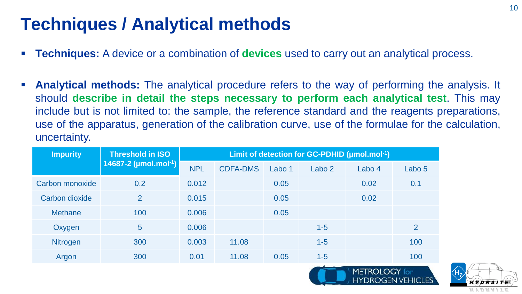### **Techniques / Analytical methods**

- **Techniques:** A device or a combination of **devices** used to carry out an analytical process.
- **Analytical methods:** The analytical procedure refers to the way of performing the analysis. It should **describe in detail the steps necessary to perform each analytical test**. This may include but is not limited to: the sample, the reference standard and the reagents preparations, use of the apparatus, generation of the calibration curve, use of the formulae for the calculation, uncertainty.

| <b>Impurity</b> | <b>Threshold in ISO</b>                 | Limit of detection for GC-PDHID (µmol.mol-1) |                 |        |                   |        |                |  |  |  |  |
|-----------------|-----------------------------------------|----------------------------------------------|-----------------|--------|-------------------|--------|----------------|--|--|--|--|
|                 | 14687-2 ( $\mu$ mol.mol <sup>-1</sup> ) | <b>NPL</b>                                   | <b>CDFA-DMS</b> | Labo 1 | Labo <sub>2</sub> | Labo 4 | Labo 5         |  |  |  |  |
| Carbon monoxide | 0.2                                     | 0.012                                        |                 | 0.05   |                   | 0.02   | 0.1            |  |  |  |  |
| Carbon dioxide  | $\overline{2}$                          | 0.015                                        |                 | 0.05   |                   | 0.02   |                |  |  |  |  |
| <b>Methane</b>  | 100                                     | 0.006                                        |                 | 0.05   |                   |        |                |  |  |  |  |
| Oxygen          | 5                                       | 0.006                                        |                 |        | $1 - 5$           |        | $\overline{2}$ |  |  |  |  |
| <b>Nitrogen</b> | 300                                     | 0.003                                        | 11.08           |        | $1-5$             |        | 100            |  |  |  |  |
| Argon           | 300                                     | 0.01                                         | 11.08           | 0.05   | $1-5$             |        | 100            |  |  |  |  |



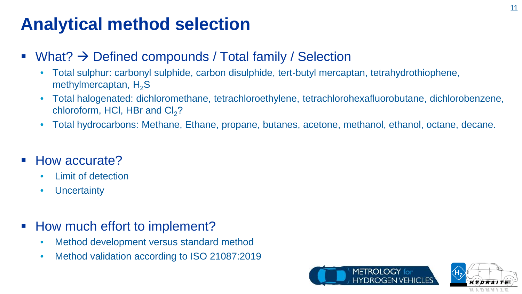### **Analytical method selection**

- What?  $\rightarrow$  Defined compounds / Total family / Selection
	- Total sulphur: carbonyl sulphide, carbon disulphide, tert-butyl mercaptan, tetrahydrothiophene, methylmercaptan,  $H_2S$
	- Total halogenated: dichloromethane, tetrachloroethylene, tetrachlorohexafluorobutane, dichlorobenzene, chloroform, HCl, HBr and  $Cl<sub>2</sub>$ ?
	- Total hydrocarbons: Methane, Ethane, propane, butanes, acetone, methanol, ethanol, octane, decane.
- How accurate?
	- Limit of detection
	- Uncertainty
- How much effort to implement?
	- Method development versus standard method
	- Method validation according to ISO 21087:2019



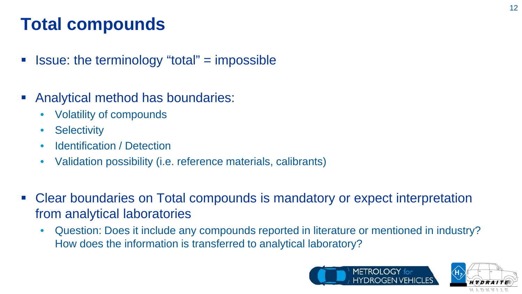## **Total compounds**

- $\blacksquare$  Issue: the terminology "total" = impossible
- Analytical method has boundaries:
	- Volatility of compounds
	- Selectivity
	- **Identification / Detection**
	- Validation possibility (i.e. reference materials, calibrants)
- Clear boundaries on Total compounds is mandatory or expect interpretation from analytical laboratories
	- Question: Does it include any compounds reported in literature or mentioned in industry? How does the information is transferred to analytical laboratory?



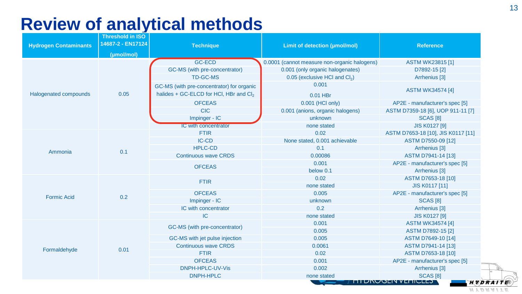| <b>Hydrogen Contaminants</b> | <b>Threshold in ISO</b><br>14687-2 - EN17124 | <b>Technique</b>                                   | Limit of detection (µmol/mol)                | <b>Reference</b>                                      |
|------------------------------|----------------------------------------------|----------------------------------------------------|----------------------------------------------|-------------------------------------------------------|
|                              | (µmol/mol)                                   |                                                    |                                              |                                                       |
|                              |                                              | <b>GC-ECD</b>                                      | 0.0001 (cannot measure non-organic halogens) | ASTM WK23815 [1]                                      |
|                              |                                              | GC-MS (with pre-concentrator)                      | 0.001 (only organic halogenates)             | D7892-15 [2]                                          |
|                              |                                              | <b>TD-GC-MS</b>                                    | 0.05 (exclusive HCl and Cl <sub>2</sub> )    | Arrhenius [3]                                         |
|                              |                                              | GC-MS (with pre-concentrator) for organic          | 0.001                                        |                                                       |
| Halogenated compounds        | 0.05                                         | halides + GC-ELCD for HCI, HBr and Cl <sub>2</sub> | 0.01 HBr                                     | <b>ASTM WK34574 [4]</b>                               |
|                              |                                              | <b>OFCEAS</b>                                      | 0.001 (HCI only)                             | AP2E - manufacturer's spec [5]                        |
|                              |                                              | <b>CIC</b>                                         | 0.001 (anions, organic halogens)             | ASTM D7359-18 [6], UOP 911-11 [7]                     |
|                              |                                              | Impinger - IC                                      | unknown                                      | <b>SCAS [8]</b>                                       |
|                              |                                              | IC with concentrator                               | none stated                                  | JIS K0127 [9]                                         |
|                              |                                              | <b>FTIR</b>                                        | 0.02                                         | ASTM D7653-18 [10], JIS K0117 [11]                    |
|                              |                                              | <b>IC-CD</b>                                       | None stated, 0.001 achievable                | ASTM D7550-09 [12]                                    |
|                              |                                              | <b>HPLC-CD</b>                                     | 0.1                                          | Arrhenius [3]                                         |
| Ammonia                      | 0.1                                          | <b>Continuous wave CRDS</b>                        | 0.00086                                      | ASTM D7941-14 [13]                                    |
|                              |                                              | <b>OFCEAS</b>                                      | 0.001                                        | AP2E - manufacturer's spec [5]                        |
|                              |                                              |                                                    | below 0.1                                    | Arrhenius [3]                                         |
|                              |                                              | <b>FTIR</b>                                        | 0.02                                         | ASTM D7653-18 [10]                                    |
|                              |                                              |                                                    | none stated                                  | <b>JIS K0117 [11]</b>                                 |
| <b>Formic Acid</b>           | 0.2                                          | <b>OFCEAS</b>                                      | 0.005                                        | AP2E - manufacturer's spec [5]                        |
|                              |                                              | Impinger - IC                                      | unknown                                      | <b>SCAS [8]</b>                                       |
|                              |                                              | IC with concentrator                               | 0.2                                          | Arrhenius [3]                                         |
|                              |                                              | IC                                                 | none stated                                  | <b>JIS K0127 [9]</b>                                  |
|                              |                                              | GC-MS (with pre-concentrator)                      | 0.001                                        | <b>ASTM WK34574 [4]</b>                               |
|                              |                                              |                                                    | 0.005                                        | ASTM D7892-15 [2]                                     |
|                              |                                              | GC-MS with jet pulse injection                     | 0.005                                        | ASTM D7649-10 [14]                                    |
| Formaldehyde                 | 0.01                                         | <b>Continuous wave CRDS</b>                        | 0.0061                                       | ASTM D7941-14 [13]                                    |
|                              |                                              | <b>FTIR</b>                                        | 0.02                                         | ASTM D7653-18 [10]                                    |
|                              |                                              | <b>OFCEAS</b>                                      | 0.001                                        | AP2E - manufacturer's spec [5]                        |
|                              |                                              | DNPH-HPLC-UV-Vis                                   | 0.002                                        | Arrhenius <sup>[3]</sup>                              |
|                              |                                              | <b>DNPH-HPLC</b>                                   | none stated                                  | <b>SCAS [8]</b><br><b>LI DIVOGEN VELICED</b><br>HODRA |

HYDRAIT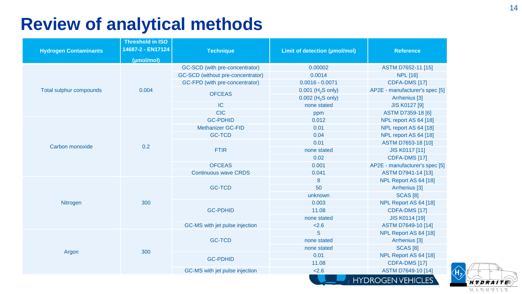| <b>Hydrogen Contaminants</b> | <b>Threshold in ISO</b><br>14687-2 - EN17124<br>(µmol/mol) | <b>Technique</b>                  | <b>Limit of detection (µmol/mol)</b> | <b>Reference</b>               |
|------------------------------|------------------------------------------------------------|-----------------------------------|--------------------------------------|--------------------------------|
|                              |                                                            | GC-SCD (with pre-concentrator)    | 0.00002                              | ASTM D7652-11 [15]             |
|                              |                                                            | GC-SCD (without pre-concentrator) | 0.0014                               | <b>NPL [16]</b>                |
|                              |                                                            | GC-FPD (with pre-concentrator)    | $0.0016 - 0.0071$                    | CDFA-DMS [17]                  |
| Total sulphur compounds      | 0.004                                                      |                                   | 0.001 ( $H_2S$ only)                 | AP2E - manufacturer's spec [5] |
|                              |                                                            | <b>OFCEAS</b>                     | 0.002 ( $H_2S$ only)                 | Arrhenius [3]                  |
|                              |                                                            | IC                                | none stated                          | <b>JIS K0127 [9]</b>           |
|                              |                                                            | <b>CIC</b>                        | ppm                                  | ASTM D7359-18 [6]              |
|                              |                                                            | <b>GC-PDHID</b>                   | 0.012                                | NPL report AS 64 [18]          |
|                              |                                                            | <b>Methanizer GC-FID</b>          | 0.01                                 | NPL report AS 64 [18]          |
|                              |                                                            | <b>GC-TCD</b>                     | 0.04                                 | NPL report AS 64 [18]          |
| Carbon monoxide              | 0.2                                                        |                                   | 0.01                                 | ASTM D7653-18 [10]             |
|                              |                                                            | <b>FTIR</b>                       | none stated                          | <b>JIS K0117 [11]</b>          |
|                              |                                                            |                                   | 0.02                                 | CDFA-DMS [17]                  |
|                              |                                                            | <b>OFCEAS</b>                     | 0.001                                | AP2E - manufacturer's spec [5] |
|                              |                                                            | <b>Continuous wave CRDS</b>       | 0.041                                | ASTM D7941-14 [13]             |
|                              |                                                            |                                   | 8                                    | NPL Report AS 64 [18]          |
|                              |                                                            | <b>GC-TCD</b>                     | 50                                   | Arrhenius [3]                  |
|                              |                                                            |                                   | unknown                              | <b>SCAS [8]</b>                |
| Nitrogen                     | 300                                                        |                                   | 0.003                                | NPL Report AS 64 [18]          |
|                              |                                                            | <b>GC-PDHID</b>                   | 11.08                                | CDFA-DMS [17]                  |
|                              |                                                            |                                   | none stated                          | JIS K0114 [19]                 |
|                              |                                                            | GC-MS with jet pulse injection    | 2.6                                  | ASTM D7649-10 [14]             |
|                              |                                                            |                                   | 5                                    | NPL Report AS 64 [18]          |
|                              |                                                            | <b>GC-TCD</b>                     | none stated                          | Arrhenius [3]                  |
| Argon                        | 300                                                        |                                   | none stated                          | <b>SCAS [8]</b>                |
|                              |                                                            | <b>GC-PDHID</b>                   | 0.01                                 | NPL Report AS 64 [18]          |
|                              |                                                            |                                   | 11.08                                | CDFA-DMS [17]                  |
|                              |                                                            | GC-MS with jet pulse injection    | 2.6                                  | ASTM D7649-10 [14]             |
|                              |                                                            |                                   |                                      | HYDROGEN VEHICLES              |

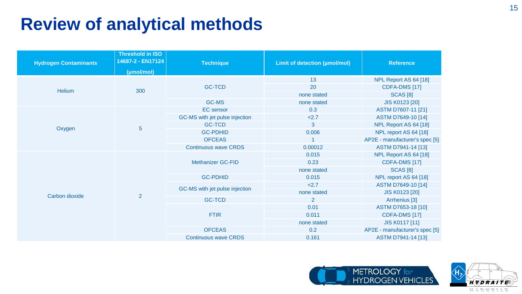| <b>Hydrogen Contaminants</b> | <b>Threshold in ISO</b><br>14687-2 - EN17124<br>(µmol/mol) | <b>Technique</b>               | <b>Limit of detection (µmol/mol)</b> | <b>Reference</b>               |
|------------------------------|------------------------------------------------------------|--------------------------------|--------------------------------------|--------------------------------|
|                              |                                                            |                                | 13                                   | NPL Report AS 64 [18]          |
| Helium                       |                                                            | <b>GC-TCD</b>                  | 20                                   | CDFA-DMS [17]                  |
|                              | 300                                                        |                                | none stated                          | <b>SCAS [8]</b>                |
|                              |                                                            | <b>GC-MS</b>                   | none stated                          | <b>JIS K0123 [20]</b>          |
|                              |                                                            | <b>EC</b> sensor               | 0.3                                  | ASTM D7607-11 [21]             |
|                              |                                                            | GC-MS with jet pulse injection | 2.7                                  | ASTM D7649-10 [14]             |
|                              | $\overline{5}$                                             | <b>GC-TCD</b>                  | 3                                    | NPL Report AS 64 [18]          |
| Oxygen                       |                                                            | <b>GC-PDHID</b>                | 0.006                                | NPL report AS 64 [18]          |
|                              |                                                            | <b>OFCEAS</b>                  |                                      | AP2E - manufacturer's spec [5] |
|                              |                                                            | <b>Continuous wave CRDS</b>    | 0.00012                              | ASTM D7941-14 [13]             |
|                              |                                                            |                                | 0.015                                | NPL Report AS 64 [18]          |
|                              |                                                            | <b>Methanizer GC-FID</b>       | 0.23                                 | CDFA-DMS [17]                  |
|                              |                                                            |                                | none stated                          | <b>SCAS [8]</b>                |
|                              |                                                            | <b>GC-PDHID</b>                | 0.015                                | NPL report AS 64 [18]          |
|                              |                                                            | GC-MS with jet pulse injection | 2.7                                  | ASTM D7649-10 [14]             |
| Carbon dioxide               | 2                                                          |                                | none stated                          | <b>JIS K0123 [20]</b>          |
|                              |                                                            | <b>GC-TCD</b>                  | 2                                    | Arrhenius [3]                  |
|                              |                                                            |                                | 0.01                                 | ASTM D7653-18 [10]             |
|                              |                                                            | <b>FTIR</b>                    | 0.011                                | CDFA-DMS [17]                  |
|                              |                                                            |                                | none stated                          | <b>JIS K0117 [11]</b>          |
|                              |                                                            | <b>OFCEAS</b>                  | 0.2                                  | AP2E - manufacturer's spec [5] |
|                              |                                                            | <b>Continuous wave CRDS</b>    | 0.161                                | ASTM D7941-14 [13]             |



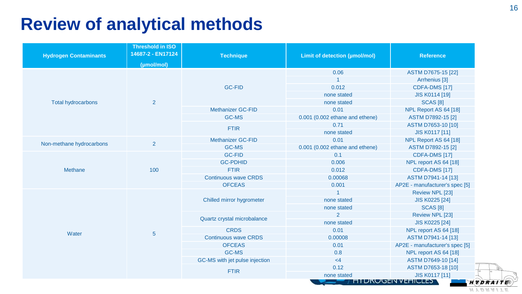| <b>Hydrogen Contaminants</b><br><b>Total hydrocarbons</b> | <b>Threshold in ISO</b><br>14687-2 - EN17124<br>(µmol/mol)<br>$\overline{2}$ | Technique<br><b>GC-FID</b>                                                                                                                                  | Limit of detection (µmol/mol)<br>0.06<br>0.012<br>none stated<br>none stated                             | <b>Reference</b><br>ASTM D7675-15 [22]<br>Arrhenius [3]<br>CDFA-DMS [17]<br>JIS K0114 [19]<br><b>SCAS [8]</b>                                                                                                                                        |
|-----------------------------------------------------------|------------------------------------------------------------------------------|-------------------------------------------------------------------------------------------------------------------------------------------------------------|----------------------------------------------------------------------------------------------------------|------------------------------------------------------------------------------------------------------------------------------------------------------------------------------------------------------------------------------------------------------|
|                                                           |                                                                              | <b>Methanizer GC-FID</b><br><b>GC-MS</b>                                                                                                                    | 0.01<br>0.001 (0.002 ethane and ethene)                                                                  | NPL Report AS 64 [18]<br>ASTM D7892-15 [2]                                                                                                                                                                                                           |
|                                                           |                                                                              | <b>FTIR</b>                                                                                                                                                 | 0.71<br>none stated                                                                                      | ASTM D7653-10 [10]<br>JIS K0117 [11]                                                                                                                                                                                                                 |
| Non-methane hydrocarbons                                  | $\overline{2}$                                                               | <b>Methanizer GC-FID</b><br><b>GC-MS</b>                                                                                                                    | 0.01<br>0.001 (0.002 ethane and ethene)                                                                  | NPL Report AS 64 [18]<br>ASTM D7892-15 [2]                                                                                                                                                                                                           |
| Methane                                                   | 100                                                                          | <b>GC-FID</b><br><b>GC-PDHID</b><br><b>FTIR</b><br><b>Continuous wave CRDS</b><br><b>OFCEAS</b>                                                             | 0.1<br>0.006<br>0.012<br>0.00068<br>0.001                                                                | CDFA-DMS [17]<br>NPL report AS 64 [18]<br>CDFA-DMS [17]<br>ASTM D7941-14 [13]<br>AP2E - manufacturer's spec [5]                                                                                                                                      |
|                                                           |                                                                              | Chilled mirror hygrometer                                                                                                                                   | none stated<br>none stated<br>2                                                                          | Review NPL [23]<br>JIS K0225 [24]<br><b>SCAS [8]</b><br>Review NPL [23]                                                                                                                                                                              |
| Water                                                     | 5                                                                            | Quartz crystal microbalance<br><b>CRDS</b><br><b>Continuous wave CRDS</b><br><b>OFCEAS</b><br><b>GC-MS</b><br>GC-MS with jet pulse injection<br><b>FTIR</b> | none stated<br>0.01<br>0.00008<br>0.01<br>0.8<br>$<$ 4<br>0.12<br>none stated<br>" / HTUKUGEN VEHICLES \ | JIS K0225 [24]<br>NPL report AS 64 [18]<br>ASTM D7941-14 [13]<br>AP2E - manufacturer's spec [5]<br>NPL report AS 64 [18]<br>ASTM D7649-10 [14]<br>$\frac{1}{\sqrt{1-\frac{1}{2}}}$<br>ASTM D7653-18 [10]<br><b>JIS K0117 [11]</b><br>$\mathcal{H}$ & |

HYDKA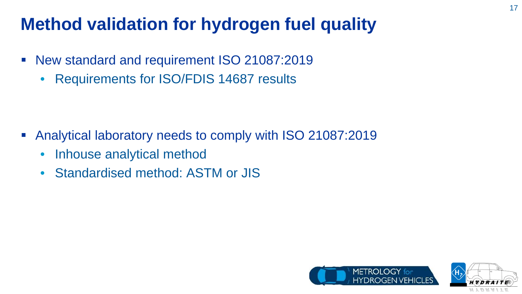### **Method validation for hydrogen fuel quality**

- New standard and requirement ISO 21087:2019
	- Requirements for ISO/FDIS 14687 results

- Analytical laboratory needs to comply with ISO 21087:2019
	- Inhouse analytical method
	- Standardised method: ASTM or JIS



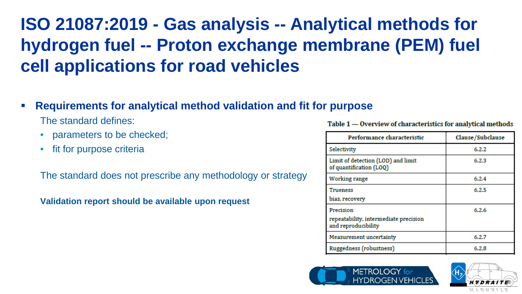## **ISO 21087:2019 - Gas analysis -- Analytical methods for hydrogen fuel -- Proton exchange membrane (PEM) fuel cell applications for road vehicles**

### **Requirements for analytical method validation and fit for purpose**

The standard defines:

- parameters to be checked;
- fit for purpose criteria

The standard does not prescribe any methodology or strategy

**Validation report should be available upon request**

#### Table 1 - Overview of characteristics for analytical methods

| Clause/Subclause |
|------------------|
| 6.2.2            |
| 6.2.3            |
| 6.2.4            |
| 6.2.5            |
| 6.2.6            |
| 6.2.7            |
| 6.2.8            |
|                  |



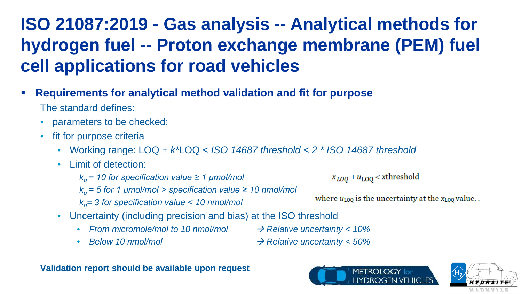## **ISO 21087:2019 - Gas analysis -- Analytical methods for hydrogen fuel -- Proton exchange membrane (PEM) fuel cell applications for road vehicles**

**Requirements for analytical method validation and fit for purpose**

The standard defines:

- parameters to be checked;
- fit for purpose criteria
	- Working range: LOQ *+ k\**LOQ *< ISO 14687 threshold < 2 \* ISO 14687 threshold*
	- Limit of detection:
		- $k_q$  = 10 for specification value  $\geq$  1  $\mu$ mol/mol
		- $k_q$  = 5 for 1  $\mu$ mol/mol > specification value  $\geq$  10 nmol/mol
		- *kq= 3 for specification value < 10 nmol/mol*
	- Uncertainty (including precision and bias) at the ISO threshold
		- From micromole/mol to 10 nmol/mol  $\rightarrow$  Relative uncertainty < 10%
		-

 $x_{LOQ} + u_{LOQ} < x$ threshold

where  $u_{\text{LOO}}$  is the uncertainty at the  $x_{\text{LOO}}$  value..

- 
- *Below 10 nmol/mol Relative uncertainty < 50%*

**Validation report should be available upon request**



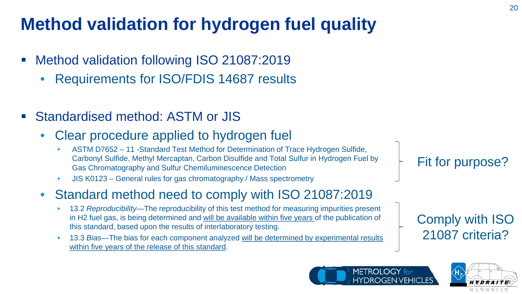### **Method validation for hydrogen fuel quality**

- Method validation following ISO 21087:2019
	- Requirements for ISO/FDIS 14687 results
- Standardised method: ASTM or JIS
	- Clear procedure applied to hydrogen fuel
		- ASTM D7652 11 -Standard Test Method for Determination of Trace Hydrogen Sulfide, Carbonyl Sulfide, Methyl Mercaptan, Carbon Disulfide and Total Sulfur in Hydrogen Fuel by Gas Chromatography and Sulfur Chemiluminescence Detection
		- JIS K0123 General rules for gas chromatography / Mass spectrometry
	- Standard method need to comply with ISO 21087:2019
		- 13.2 *Reproducibility*—The reproducibility of this test method for measuring impurities present in H2 fuel gas, is being determined and will be available within five years of the publication of this standard, based upon the results of interlaboratory testing.
		- 13.3 *Bias*—The bias for each component analyzed will be determined by experimental results within five years of the release of this standard.

Fit for purpose?

Comply with ISO 21087 criteria?



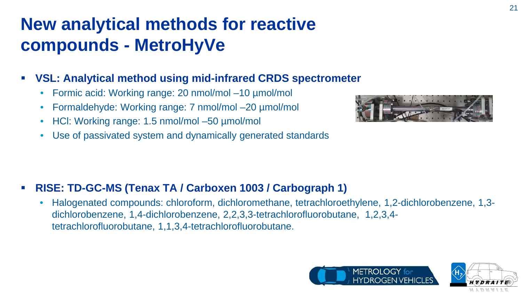### **New analytical methods for reactive compounds - MetroHyVe**

- **VSL: Analytical method using mid-infrared CRDS spectrometer**
	- Formic acid: Working range: 20 nmol/mol –10 µmol/mol
	- Formaldehyde: Working range: 7 nmol/mol –20 µmol/mol
	- HCI: Working range: 1.5 nmol/mol –50 µmol/mol
	- Use of passivated system and dynamically generated standards



### **RISE: TD-GC-MS (Tenax TA / Carboxen 1003 / Carbograph 1)**

• Halogenated compounds: chloroform, dichloromethane, tetrachloroethylene, 1,2-dichlorobenzene, 1,3 dichlorobenzene, 1,4-dichlorobenzene, 2,2,3,3-tetrachlorofluorobutane, 1,2,3,4 tetrachlorofluorobutane, 1,1,3,4-tetrachlorofluorobutane.



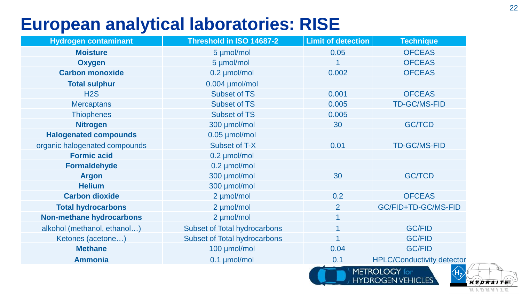### **European analytical laboratories: RISE**

| <b>Hydrogen contaminant</b>     | Threshold in ISO 14687-2            | <b>Limit of detection</b> | <b>Technique</b>                                                                                                                                                                                                                                                          |
|---------------------------------|-------------------------------------|---------------------------|---------------------------------------------------------------------------------------------------------------------------------------------------------------------------------------------------------------------------------------------------------------------------|
| <b>Moisture</b>                 | 5 µmol/mol                          | 0.05                      | <b>OFCEAS</b>                                                                                                                                                                                                                                                             |
| <b>Oxygen</b>                   | 5 µmol/mol                          |                           | <b>OFCEAS</b>                                                                                                                                                                                                                                                             |
| <b>Carbon monoxide</b>          | 0.2 µmol/mol                        | 0.002                     | <b>OFCEAS</b>                                                                                                                                                                                                                                                             |
| <b>Total sulphur</b>            | $0.004$ µmol/mol                    |                           |                                                                                                                                                                                                                                                                           |
| H <sub>2</sub> S                | <b>Subset of TS</b>                 | 0.001                     | <b>OFCEAS</b>                                                                                                                                                                                                                                                             |
| <b>Mercaptans</b>               | <b>Subset of TS</b>                 | 0.005                     | <b>TD-GC/MS-FID</b>                                                                                                                                                                                                                                                       |
| <b>Thiophenes</b>               | <b>Subset of TS</b>                 | 0.005                     |                                                                                                                                                                                                                                                                           |
| <b>Nitrogen</b>                 | 300 µmol/mol                        | 30                        | <b>GC/TCD</b>                                                                                                                                                                                                                                                             |
| <b>Halogenated compounds</b>    | 0.05 µmol/mol                       |                           |                                                                                                                                                                                                                                                                           |
| organic halogenated compounds   | Subset of T-X                       | 0.01                      | <b>TD-GC/MS-FID</b>                                                                                                                                                                                                                                                       |
| <b>Formic acid</b>              | 0.2 µmol/mol                        |                           |                                                                                                                                                                                                                                                                           |
| <b>Formaldehyde</b>             | 0.2 µmol/mol                        |                           |                                                                                                                                                                                                                                                                           |
| <b>Argon</b>                    | 300 µmol/mol                        | 30                        | <b>GC/TCD</b>                                                                                                                                                                                                                                                             |
| <b>Helium</b>                   | 300 µmol/mol                        |                           |                                                                                                                                                                                                                                                                           |
| <b>Carbon dioxide</b>           | 2 µmol/mol                          | 0.2                       | <b>OFCEAS</b>                                                                                                                                                                                                                                                             |
| <b>Total hydrocarbons</b>       | 2 µmol/mol                          | $\overline{2}$            | GC/FID+TD-GC/MS-FID                                                                                                                                                                                                                                                       |
| <b>Non-methane hydrocarbons</b> | 2 µmol/mol                          |                           |                                                                                                                                                                                                                                                                           |
| alkohol (methanol, ethanol)     | <b>Subset of Total hydrocarbons</b> | 1                         | <b>GC/FID</b>                                                                                                                                                                                                                                                             |
| Ketones (acetone)               | <b>Subset of Total hydrocarbons</b> |                           | <b>GC/FID</b>                                                                                                                                                                                                                                                             |
| <b>Methane</b>                  | 100 µmol/mol                        | 0.04                      | <b>GC/FID</b>                                                                                                                                                                                                                                                             |
| <b>Ammonia</b>                  | 0.1 µmol/mol                        | 0.1                       | <b>HPLC/Conductivity detector</b><br><b>Contract Contract Contract Contract Contract Contract Contract Contract Contract Contract Contract Contract Contract Contract Contract Contract Contract Contract Contract Contract Contract Contract Contract Contract Contr</b> |



(H)

 $HYDRAI$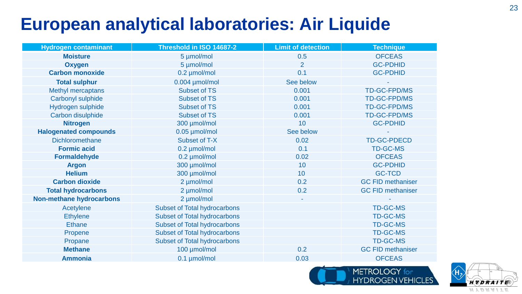### **European analytical laboratories: Air Liquide**

| <b>Hydrogen contaminant</b>     | Threshold in ISO 14687-2            | <b>Limit of detection</b> | <b>Technique</b>         |
|---------------------------------|-------------------------------------|---------------------------|--------------------------|
| <b>Moisture</b>                 | 5 µmol/mol                          | 0.5                       | <b>OFCEAS</b>            |
| <b>Oxygen</b>                   | 5 µmol/mol                          | 2                         | <b>GC-PDHID</b>          |
| <b>Carbon monoxide</b>          | 0.2 µmol/mol                        | 0.1                       | <b>GC-PDHID</b>          |
| <b>Total sulphur</b>            | $0.004 \mu$ mol/mol                 | See below                 |                          |
| <b>Methyl mercaptans</b>        | <b>Subset of TS</b>                 | 0.001                     | <b>TD-GC-FPD/MS</b>      |
| <b>Carbonyl sulphide</b>        | <b>Subset of TS</b>                 | 0.001                     | <b>TD-GC-FPD/MS</b>      |
| Hydrogen sulphide               | <b>Subset of TS</b>                 | 0.001                     | <b>TD-GC-FPD/MS</b>      |
| Carbon disulphide               | <b>Subset of TS</b>                 | 0.001                     | <b>TD-GC-FPD/MS</b>      |
| <b>Nitrogen</b>                 | 300 µmol/mol                        | 10                        | <b>GC-PDHID</b>          |
| <b>Halogenated compounds</b>    | 0.05 µmol/mol                       | See below                 |                          |
| Dichloromethane                 | Subset of T-X                       | 0.02                      | <b>TD-GC-PDECD</b>       |
| <b>Formic acid</b>              | 0.2 µmol/mol                        | 0.1                       | <b>TD-GC-MS</b>          |
| <b>Formaldehyde</b>             | 0.2 µmol/mol                        | 0.02                      | <b>OFCEAS</b>            |
| <b>Argon</b>                    | 300 µmol/mol                        | 10                        | <b>GC-PDHID</b>          |
| <b>Helium</b>                   | 300 µmol/mol                        | 10                        | <b>GC-TCD</b>            |
| <b>Carbon dioxide</b>           | 2 µmol/mol                          | 0.2                       | <b>GC FID methaniser</b> |
| <b>Total hydrocarbons</b>       | 2 µmol/mol                          | 0.2                       | <b>GC FID methaniser</b> |
| <b>Non-methane hydrocarbons</b> | 2 µmol/mol                          |                           |                          |
| Acetylene                       | <b>Subset of Total hydrocarbons</b> |                           | <b>TD-GC-MS</b>          |
| <b>Ethylene</b>                 | <b>Subset of Total hydrocarbons</b> |                           | <b>TD-GC-MS</b>          |
| <b>Ethane</b>                   | <b>Subset of Total hydrocarbons</b> |                           | <b>TD-GC-MS</b>          |
| Propene                         | <b>Subset of Total hydrocarbons</b> |                           | <b>TD-GC-MS</b>          |
| Propane                         | <b>Subset of Total hydrocarbons</b> |                           | <b>TD-GC-MS</b>          |
| <b>Methane</b>                  | 100 µmol/mol                        | 0.2                       | <b>GC FID methaniser</b> |
| <b>Ammonia</b>                  | 0.1 µmol/mol                        | 0.03                      | <b>OFCEAS</b>            |



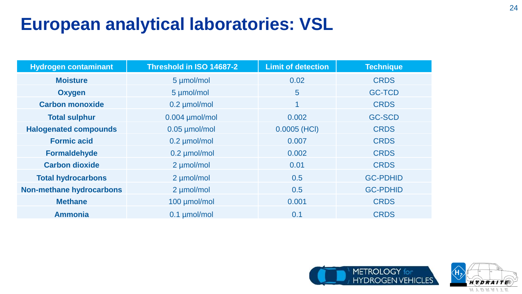### **European analytical laboratories: VSL**

| <b>Hydrogen contaminant</b>     | Threshold in ISO 14687-2 | <b>Limit of detection</b> | <b>Technique</b> |
|---------------------------------|--------------------------|---------------------------|------------------|
| <b>Moisture</b>                 | 5 µmol/mol               | 0.02                      | <b>CRDS</b>      |
| <b>Oxygen</b>                   | 5 µmol/mol               | 5                         | <b>GC-TCD</b>    |
| <b>Carbon monoxide</b>          | 0.2 µmol/mol             | $\mathbf 1$               | <b>CRDS</b>      |
| <b>Total sulphur</b>            | $0.004$ µmol/mol         | 0.002                     | <b>GC-SCD</b>    |
| <b>Halogenated compounds</b>    | $0.05 \mu$ mol/mol       | $0.0005$ (HCI)            | <b>CRDS</b>      |
| <b>Formic acid</b>              | 0.2 µmol/mol             | 0.007                     | <b>CRDS</b>      |
| <b>Formaldehyde</b>             | 0.2 µmol/mol             | 0.002                     | <b>CRDS</b>      |
| <b>Carbon dioxide</b>           | 2 µmol/mol               | 0.01                      | <b>CRDS</b>      |
| <b>Total hydrocarbons</b>       | 2 µmol/mol               | 0.5                       | <b>GC-PDHID</b>  |
| <b>Non-methane hydrocarbons</b> | 2 µmol/mol               | 0.5                       | <b>GC-PDHID</b>  |
| <b>Methane</b>                  | 100 µmol/mol             | 0.001                     | <b>CRDS</b>      |
| <b>Ammonia</b>                  | 0.1 µmol/mol             | 0.1                       | <b>CRDS</b>      |



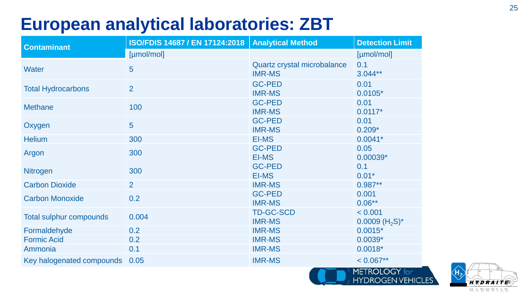### **European analytical laboratories: ZBT**

| <b>Contaminant</b>             | ISO/FDIS 14687 / EN 17124:2018 | <b>Analytical Method</b>                     | <b>Detection Limit</b>                              |
|--------------------------------|--------------------------------|----------------------------------------------|-----------------------------------------------------|
|                                | [µmol/mol]                     |                                              | [µmol/mol]                                          |
| <b>Water</b>                   | 5                              | Quartz crystal microbalance<br><b>IMR-MS</b> | 0.1<br>$3.044**$                                    |
| <b>Total Hydrocarbons</b>      | $\overline{2}$                 | <b>GC-PED</b><br><b>IMR-MS</b>               | 0.01<br>$0.0105*$                                   |
| <b>Methane</b>                 | 100                            | <b>GC-PED</b><br><b>IMR-MS</b>               | 0.01<br>$0.0117*$                                   |
| Oxygen                         | 5                              | <b>GC-PED</b><br><b>IMR-MS</b>               | 0.01<br>$0.209*$                                    |
| <b>Helium</b>                  | 300                            | <b>EI-MS</b>                                 | $0.0041*$                                           |
| Argon                          | 300                            | <b>GC-PED</b><br><b>EI-MS</b>                | 0.05<br>$0.00039*$                                  |
| <b>Nitrogen</b>                | 300                            | <b>GC-PED</b><br>EI-MS                       | 0.1<br>$0.01*$                                      |
| <b>Carbon Dioxide</b>          | $\overline{2}$                 | <b>IMR-MS</b>                                | $0.987**$                                           |
| <b>Carbon Monoxide</b>         | 0.2                            | <b>GC-PED</b><br><b>IMR-MS</b>               | 0.001<br>$0.06***$                                  |
| <b>Total sulphur compounds</b> | 0.004                          | <b>TD-GC-SCD</b><br><b>IMR-MS</b>            | < 0.001<br>$0.0009$ (H <sub>2</sub> S) <sup>*</sup> |
| Formaldehyde                   | 0.2                            | <b>IMR-MS</b>                                | $0.0015*$                                           |
| <b>Formic Acid</b>             | 0.2                            | <b>IMR-MS</b>                                | $0.0039*$                                           |
| Ammonia                        | 0.1                            | <b>IMR-MS</b>                                | $0.0018*$                                           |
| Key halogenated compounds      | 0.05                           | <b>IMR-MS</b>                                | $< 0.067**$                                         |



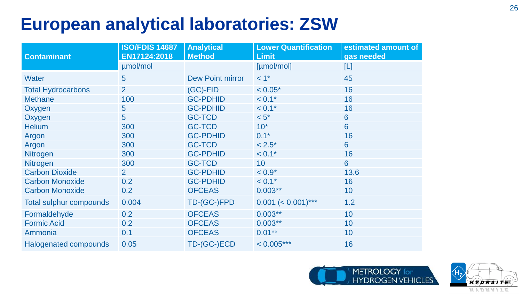### **European analytical laboratories: ZSW**

| <b>Contaminant</b>             | <b>ISO/FDIS 14687</b><br>EN17124:2018 | <b>Analytical</b><br><b>Method</b> | <b>Lower Quantification</b><br><b>Limit</b> | estimated amount of<br>gas needed |
|--------------------------------|---------------------------------------|------------------------------------|---------------------------------------------|-----------------------------------|
|                                | umol/mol                              |                                    | [µmol/mol]                                  | $\left[ \text{L} \right]$         |
| <b>Water</b>                   | $5\overline{)}$                       | <b>Dew Point mirror</b>            | $<1$ <sup>*</sup>                           | 45                                |
| <b>Total Hydrocarbons</b>      | 2                                     | $(GC)$ -FID                        | $< 0.05*$                                   | 16                                |
| <b>Methane</b>                 | 100                                   | <b>GC-PDHID</b>                    | $< 0.1*$                                    | 16                                |
| Oxygen                         | $5\overline{)}$                       | <b>GC-PDHID</b>                    | $< 0.1*$                                    | 16                                |
| Oxygen                         | $5\phantom{1}$                        | <b>GC-TCD</b>                      | $< 5$ <sup>*</sup>                          | 6                                 |
| <b>Helium</b>                  | 300                                   | <b>GC-TCD</b>                      | $10*$                                       | 6                                 |
| Argon                          | 300                                   | <b>GC-PDHID</b>                    | $0.1*$                                      | 16                                |
| Argon                          | 300                                   | <b>GC-TCD</b>                      | $< 2.5^*$                                   | 6                                 |
| <b>Nitrogen</b>                | 300                                   | <b>GC-PDHID</b>                    | $< 0.1*$                                    | 16                                |
| <b>Nitrogen</b>                | 300                                   | <b>GC-TCD</b>                      | 10                                          | 6                                 |
| <b>Carbon Dioxide</b>          | $\overline{2}$                        | <b>GC-PDHID</b>                    | $< 0.9*$                                    | 13.6                              |
| <b>Carbon Monoxide</b>         | 0.2                                   | <b>GC-PDHID</b>                    | $< 0.1*$                                    | 16                                |
| <b>Carbon Monoxide</b>         | 0.2                                   | <b>OFCEAS</b>                      | $0.003**$                                   | 10                                |
| <b>Total sulphur compounds</b> | 0.004                                 | TD-(GC-)FPD                        | $0.001$ (< 0.001)***                        | 1.2                               |
| Formaldehyde                   | 0.2                                   | <b>OFCEAS</b>                      | $0.003**$                                   | 10                                |
| <b>Formic Acid</b>             | 0.2                                   | <b>OFCEAS</b>                      | $0.003**$                                   | 10                                |
| Ammonia                        | 0.1                                   | <b>OFCEAS</b>                      | $0.01**$                                    | 10                                |
| <b>Halogenated compounds</b>   | 0.05                                  | TD-(GC-)ECD                        | $< 0.005***$                                | 16                                |



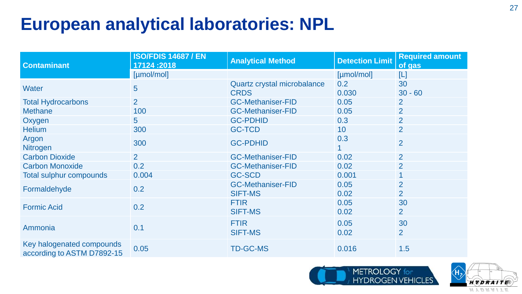### **European analytical laboratories: NPL**

| <b>Contaminant</b>                                      | <b>ISO/FDIS 14687 / EN</b><br>17124:2018 | <b>Analytical Method</b>                   | <b>Detection Limit</b> | <b>Required amount</b><br>of gas          |
|---------------------------------------------------------|------------------------------------------|--------------------------------------------|------------------------|-------------------------------------------|
|                                                         | [µmol/mol]                               |                                            | [µmol/mol]             | $\begin{bmatrix} \boxed{1} \end{bmatrix}$ |
| <b>Water</b>                                            | 5                                        | Quartz crystal microbalance<br><b>CRDS</b> | 0.2<br>0.030           | 30<br>$30 - 60$                           |
| <b>Total Hydrocarbons</b>                               | 2                                        | <b>GC-Methaniser-FID</b>                   | 0.05                   | $\overline{2}$                            |
| <b>Methane</b>                                          | 100                                      | <b>GC-Methaniser-FID</b>                   | 0.05                   | $\overline{2}$                            |
| Oxygen                                                  | $5\overline{)}$                          | <b>GC-PDHID</b>                            | 0.3                    | $\overline{2}$                            |
| <b>Helium</b>                                           | 300                                      | <b>GC-TCD</b>                              | 10                     | $\overline{2}$                            |
| Argon<br>Nitrogen                                       | 300                                      | <b>GC-PDHID</b>                            | 0.3                    | $\overline{2}$                            |
| <b>Carbon Dioxide</b>                                   | 2                                        | <b>GC-Methaniser-FID</b>                   | 0.02                   | $\overline{2}$                            |
| <b>Carbon Monoxide</b>                                  | 0.2                                      | <b>GC-Methaniser-FID</b>                   | 0.02                   | $\overline{2}$                            |
| <b>Total sulphur compounds</b>                          | 0.004                                    | <b>GC-SCD</b>                              | 0.001                  |                                           |
| Formaldehyde                                            | 0.2                                      | <b>GC-Methaniser-FID</b><br><b>SIFT-MS</b> | 0.05<br>0.02           | $\overline{2}$<br>$\overline{2}$          |
| <b>Formic Acid</b>                                      | 0.2                                      | <b>FTIR</b><br><b>SIFT-MS</b>              | 0.05<br>0.02           | 30<br>$\overline{2}$                      |
| Ammonia                                                 | 0.1                                      | <b>FTIR</b><br><b>SIFT-MS</b>              | 0.05<br>0.02           | 30<br>$\overline{2}$                      |
| Key halogenated compounds<br>according to ASTM D7892-15 | 0.05                                     | <b>TD-GC-MS</b>                            | 0.016                  | 1.5                                       |



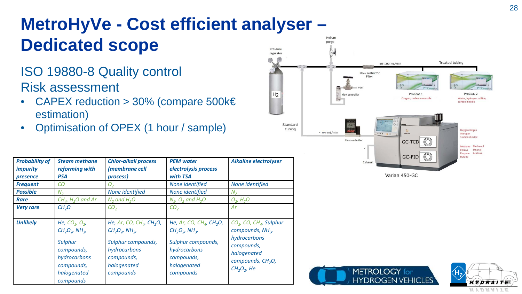#### **MetroHyVe - Cost efficient analyser – Dedicated scope** Pressure regulator

 $H<sub>2</sub>$ 

### ISO 19880 -8 Quality control Risk assessment

- <code>CAPEX</code> reduction  $>$  30% (compare 500k $\epsilon$ estimation)
- Optimisation of OPEX (1 hour / sample)

| <b>Probability of</b> | <b>Steam methane</b>                                                            | <b>Chlor-alkali process</b>                                                  | <b>PEM water</b>                                                             | <b>Alkaline electrolyser</b>                                                               |
|-----------------------|---------------------------------------------------------------------------------|------------------------------------------------------------------------------|------------------------------------------------------------------------------|--------------------------------------------------------------------------------------------|
| <i>impurity</i>       | reforming with                                                                  | (membrane cell                                                               | electrolysis process                                                         |                                                                                            |
| presence              | <b>PSA</b>                                                                      | process)                                                                     | with TSA                                                                     |                                                                                            |
| <b>Frequent</b>       | CO                                                                              | 0,                                                                           | None identified                                                              | None identified                                                                            |
| <b>Possible</b>       | $N_{\mathcal{D}}$                                                               | None identified                                                              | None identified                                                              | $N_{\mathcal{D}}$                                                                          |
| <b>Rare</b>           | $CH_{\omega}H_{2}O$ and Ar                                                      | $N_2$ and $H_2O$                                                             | $N_2$ , O <sub>2</sub> and H <sub>2</sub> O                                  | $O_2$ , H <sub>2</sub> O                                                                   |
| <b>Very rare</b>      | CH <sub>2</sub> O                                                               | CO <sub>2</sub>                                                              | CO <sub>2</sub>                                                              | Ar                                                                                         |
|                       |                                                                                 |                                                                              |                                                                              |                                                                                            |
| <b>Unlikely</b>       | He, $CO2, O2$                                                                   | He, Ar, CO, $CH_{4}$ , $CH_{2}O$ ,                                           | He, Ar, CO, CH <sub>a</sub> , CH <sub>2</sub> O,                             | $CO2$ , CO, CH <sub>a</sub> , Sulphur                                                      |
|                       | $CH_2O_{2}$ , NH <sub>2</sub> ,                                                 | $CH_2O_{2}$ , NH <sub>2</sub> ,                                              | $CH_2O_{2}$ , NH <sub>3</sub> ,                                              | compounds, $NHx$                                                                           |
|                       | Sulphur<br>compounds,<br>hydrocarbons<br>compounds,<br>halogenated<br>compounds | Sulphur compounds,<br>hydrocarbons<br>compounds,<br>halogenated<br>compounds | Sulphur compounds,<br>hydrocarbons<br>compounds,<br>halogenated<br>compounds | hydrocarbons<br>compounds,<br>halogenated<br>compounds, CH <sub>2</sub> O,<br>$CH2O2$ , He |





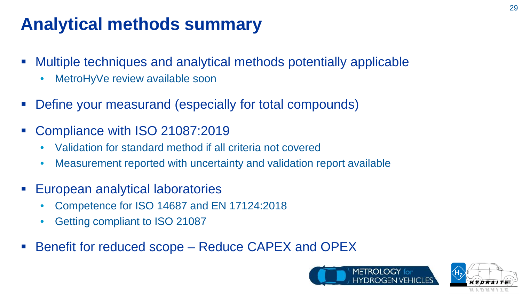### **Analytical methods summary**

- Multiple techniques and analytical methods potentially applicable
	- MetroHyVe review available soon
- Define your measurand (especially for total compounds)
- Compliance with ISO 21087:2019
	- Validation for standard method if all criteria not covered
	- Measurement reported with uncertainty and validation report available
- **European analytical laboratories** 
	- Competence for ISO 14687 and EN 17124:2018
	- Getting compliant to ISO 21087
- Benefit for reduced scope Reduce CAPEX and OPEX



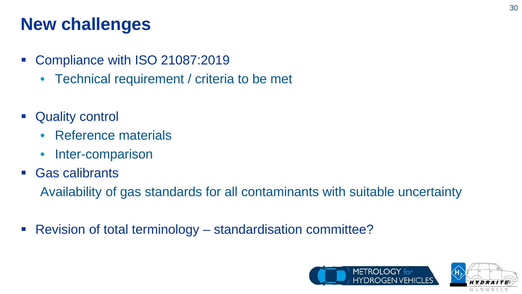### **New challenges**

- Compliance with ISO 21087:2019
	- Technical requirement / criteria to be met
- **Quality control** 
	- Reference materials
	- Inter-comparison
- Gas calibrants

Availability of gas standards for all contaminants with suitable uncertainty

■ Revision of total terminology – standardisation committee?



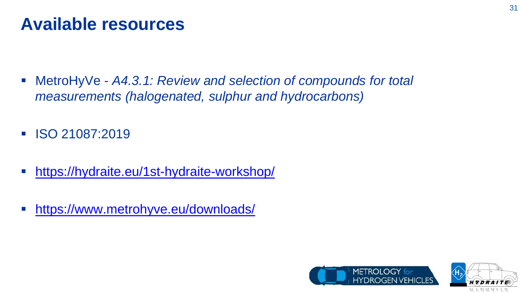### **Available resources**

- MetroHyVe A4.3.1: Review and selection of compounds for total *measurements (halogenated, sulphur and hydrocarbons)*
- $\blacksquare$  ISO 21087:2019
- <https://hydraite.eu/1st-hydraite-workshop/>
- <https://www.metrohyve.eu/downloads/>